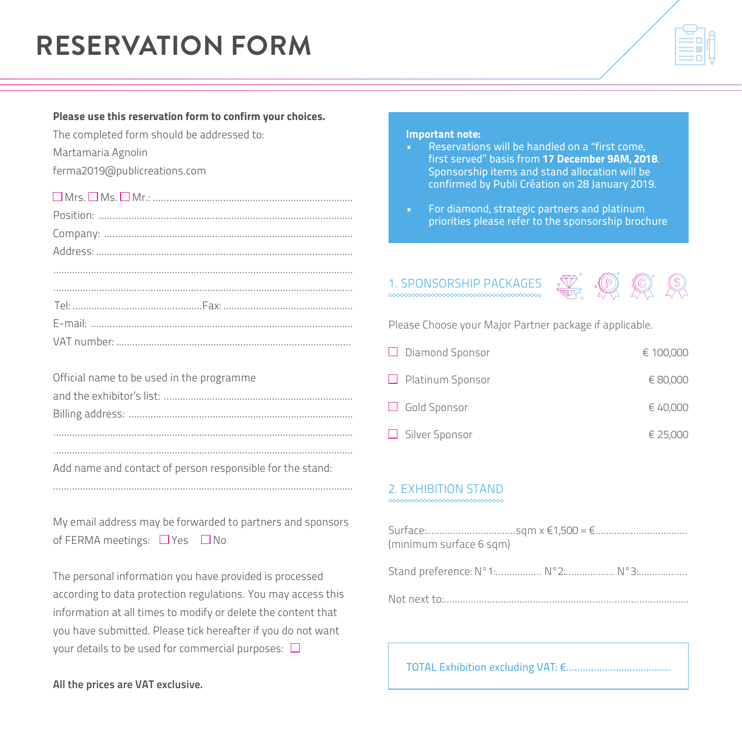# **RESERVATION FORM**

#### Please use this reservation form to confirm your choices.

The completed form should be addressed to:

Martamaria Agnolin

ferma2019@publicreations.com

Mrs. Ms. Mr.: ..........................................................................

| $\label{eq:2} \textbf{Position:}\quad \begin{minipage}{0.9\linewidth} \begin{minipage}{0.9\linewidth} \begin{minipage}{0.9\linewidth} \begin{minipage}{0.9\linewidth} \end{minipage} \end{minipage} \begin{minipage}{0.9\linewidth} \begin{minipage}{0.9\linewidth} \begin{minipage}{0.9\linewidth} \end{minipage} \end{minipage} \end{minipage} \begin{minipage}{0.9\linewidth} \begin{minipage}{0.9\linewidth} \begin{minipage}{0.9\linewidth} \begin{minipage}{0.9\linewidth} \end{minipage} \end{minipage} \end{minipage} \begin{minipage$ |
|------------------------------------------------------------------------------------------------------------------------------------------------------------------------------------------------------------------------------------------------------------------------------------------------------------------------------------------------------------------------------------------------------------------------------------------------------------------------------------------------------------------------------------------------|
|                                                                                                                                                                                                                                                                                                                                                                                                                                                                                                                                                |
|                                                                                                                                                                                                                                                                                                                                                                                                                                                                                                                                                |
|                                                                                                                                                                                                                                                                                                                                                                                                                                                                                                                                                |
|                                                                                                                                                                                                                                                                                                                                                                                                                                                                                                                                                |
|                                                                                                                                                                                                                                                                                                                                                                                                                                                                                                                                                |
|                                                                                                                                                                                                                                                                                                                                                                                                                                                                                                                                                |
|                                                                                                                                                                                                                                                                                                                                                                                                                                                                                                                                                |

| Official name to be used in the programme |
|-------------------------------------------|
|                                           |
|                                           |
|                                           |
|                                           |

Add name and contact of person responsible for the stand:

My email address may be forwarded to partners and sponsors of FERMA meetings:  $\Box$  Yes  $\Box$  No

...............................................................................................................

The personal information you have provided is processed according to data protection regulations. You may access this information at all times to modify or delete the content that you have submitted. Please tick hereafter if you do not want your details to be used for commercial purposes:  $\square$ 

#### Important note:

- Reservations will be handled on a "first come, first served" basis from 17 December 9AM, 2018. Sponsorship items and stand allocation will be confirmed by Publi Création on 28 January 2019.
- For diamond, strategic partners and platinum priorities please refer to the sponsorship brochure

## 1. SPONSORSHIP PACKAGES  $\overline{\mathcal{D}}$   $\overline{\mathcal{D}}$   $\overline{\mathcal{D}}$   $\overline{\mathcal{D}}$



Please Choose your Major Partner package if applicable.

| $\Box$ Diamond Sponsor  | € 100,000 |
|-------------------------|-----------|
| $\Box$ Platinum Sponsor | € 80,000  |
| $\Box$ Gold Sponsor     | € 40,000  |
| $\Box$ Silver Sponsor   | € 25,000  |

#### 2. EXHIBITION STAND

#### <u>www.www.www.www.</u>

| (minimum surface 6 sqm)          |  |
|----------------------------------|--|
| Stand preference: N°1: N°2: N°3: |  |
|                                  |  |

TOTAL Exhibition excluding VAT: €…………………………….....

All the prices are VAT exclusive.